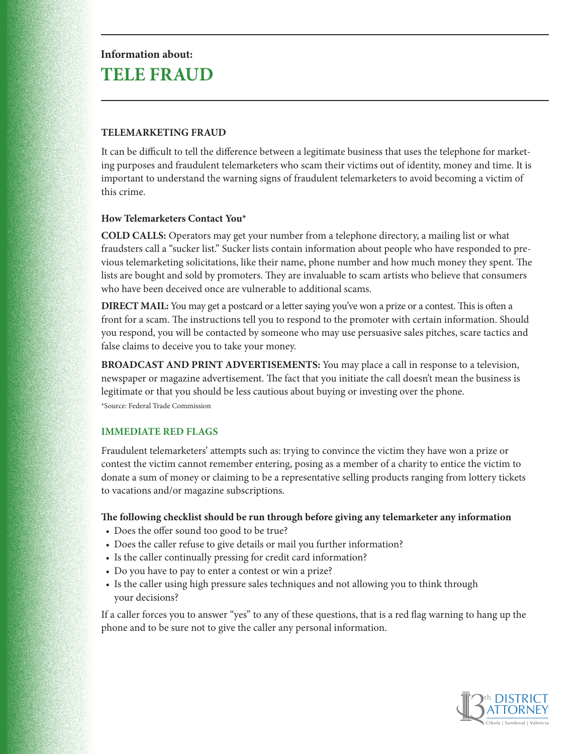# **Information about: TELE FRAUD**

# **TELEMARKETING FRAUD**

It can be difficult to tell the difference between a legitimate business that uses the telephone for marketing purposes and fraudulent telemarketers who scam their victims out of identity, money and time. It is important to understand the warning signs of fraudulent telemarketers to avoid becoming a victim of this crime.

# **How Telemarketers Contact You\***

**COLD CALLS:** Operators may get your number from a telephone directory, a mailing list or what fraudsters call a "sucker list." Sucker lists contain information about people who have responded to previous telemarketing solicitations, like their name, phone number and how much money they spent. The lists are bought and sold by promoters. They are invaluable to scam artists who believe that consumers who have been deceived once are vulnerable to additional scams.

**DIRECT MAIL:** You may get a postcard or a letter saying you've won a prize or a contest. This is often a front for a scam. The instructions tell you to respond to the promoter with certain information. Should you respond, you will be contacted by someone who may use persuasive sales pitches, scare tactics and false claims to deceive you to take your money.

**BROADCAST AND PRINT ADVERTISEMENTS:** You may place a call in response to a television, newspaper or magazine advertisement. The fact that you initiate the call doesn't mean the business is legitimate or that you should be less cautious about buying or investing over the phone. \*Source: Federal Trade Commission

# **IMMEDIATE RED FLAGS**

Fraudulent telemarketers' attempts such as: trying to convince the victim they have won a prize or contest the victim cannot remember entering, posing as a member of a charity to entice the victim to donate a sum of money or claiming to be a representative selling products ranging from lottery tickets to vacations and/or magazine subscriptions.

#### **The following checklist should be run through before giving any telemarketer any information**

- Does the offer sound too good to be true?
- Does the caller refuse to give details or mail you further information?
- Is the caller continually pressing for credit card information?
- Do you have to pay to enter a contest or win a prize?
- Is the caller using high pressure sales techniques and not allowing you to think through your decisions?

If a caller forces you to answer "yes" to any of these questions, that is a red flag warning to hang up the phone and to be sure not to give the caller any personal information.